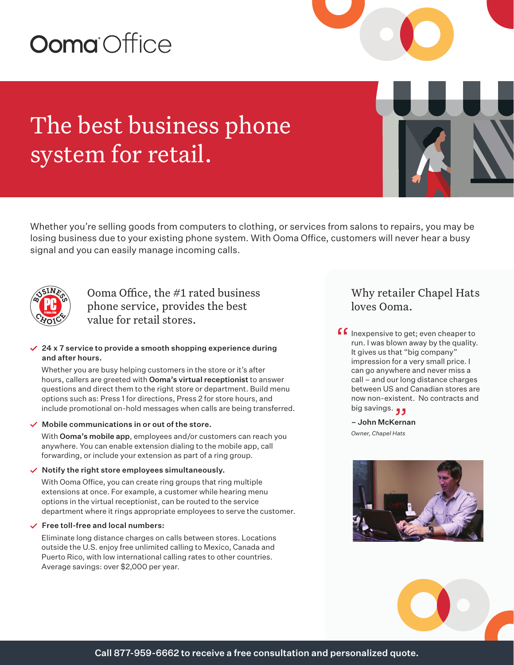# **Ooma** Office

## The best business phone system for retail.

Whether you're selling goods from computers to clothing, or services from salons to repairs, you may be losing business due to your existing phone system. With Ooma Office, customers will never hear a busy signal and you can easily manage incoming calls.



Ooma Office, the #1 rated business phone service, provides the best value for retail stores.

#### $\angle$  24 x 7 service to provide a smooth shopping experience during and after hours.

Whether you are busy helping customers in the store or it's after hours, callers are greeted with Ooma's virtual receptionist to answer questions and direct them to the right store or department. Build menu options such as: Press 1 for directions, Press 2 for store hours, and include promotional on-hold messages when calls are being transferred.

#### $\checkmark$  Mobile communications in or out of the store.

With Ooma's mobile app, employees and/or customers can reach you anywhere. You can enable extension dialing to the mobile app, call forwarding, or include your extension as part of a ring group.

#### $\checkmark$  Notify the right store employees simultaneously.

With Ooma Office, you can create ring groups that ring multiple extensions at once. For example, a customer while hearing menu options in the virtual receptionist, can be routed to the service department where it rings appropriate employees to serve the customer.

#### $\checkmark$  Free toll-free and local numbers:

Eliminate long distance charges on calls between stores. Locations outside the U.S. enjoy free unlimited calling to Mexico, Canada and Puerto Rico, with low international calling rates to other countries. Average savings: over \$2,000 per year.

## Why retailer Chapel Hats loves Ooma.

**f** Inexpensive to get; even cheaper to<br>run. I was blown away by the quality.<br>It gives us that "big company" run. I was blown away by the quality. It gives us that "big company" impression for a very small price. I can go anywhere and never miss a call – and our long distance charges between US and Canadian stores are now non-existent. No contracts and now non-existen<br>big savings. <sub>J J</sub>

– John McKernan *Owner, Chapel Hats*